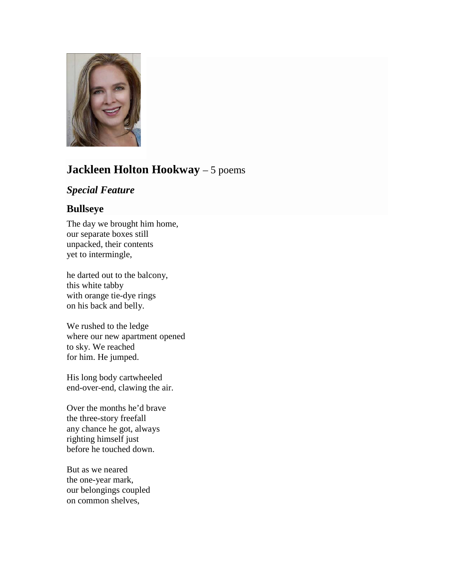

# **Jackleen Holton Hookway** – 5 poems

# *Special Feature*

## **Bullseye**

The day we brought him home, our separate boxes still unpacked, their contents yet to intermingle,

he darted out to the balcony, this white tabby with orange tie-dye rings on his back and belly.

We rushed to the ledge where our new apartment opened to sky. We reached for him. He jumped.

His long body cartwheeled end-over-end, clawing the air.

Over the months he'd brave the three-story freefall any chance he got, always righting himself just before he touched down.

But as we neared the one-year mark, our belongings coupled on common shelves,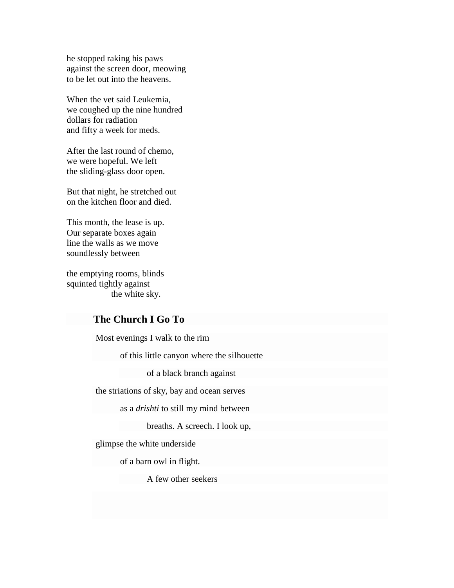he stopped raking his paws against the screen door, meowing to be let out into the heavens.

When the vet said Leukemia, we coughed up the nine hundred dollars for radiation and fifty a week for meds.

After the last round of chemo, we were hopeful. We left the sliding-glass door open.

But that night, he stretched out on the kitchen floor and died.

This month, the lease is up. Our separate boxes again line the walls as we move soundlessly between

the emptying rooms, blinds squinted tightly against the white sky.

### **The Church I Go To**

Most evenings I walk to the rim

of this little canyon where the silhouette

of a black branch against

the striations of sky, bay and ocean serves

as a *drishti* to still my mind between

breaths. A screech. I look up,

glimpse the white underside

of a barn owl in flight.

A few other seekers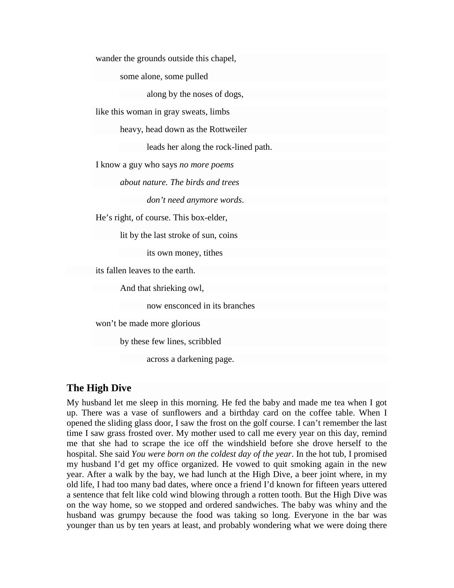wander the grounds outside this chapel,

some alone, some pulled

along by the noses of dogs,

like this woman in gray sweats, limbs

heavy, head down as the Rottweiler

leads her along the rock-lined path.

I know a guy who says *no more poems*

*about nature. The birds and trees*

*don't need anymore words*.

He's right, of course. This box-elder,

lit by the last stroke of sun, coins

its own money, tithes

its fallen leaves to the earth.

And that shrieking owl,

now ensconced in its branches

won't be made more glorious

by these few lines, scribbled

across a darkening page.

#### **The High Dive**

My husband let me sleep in this morning. He fed the baby and made me tea when I got up. There was a vase of sunflowers and a birthday card on the coffee table. When I opened the sliding glass door, I saw the frost on the golf course. I can't remember the last time I saw grass frosted over. My mother used to call me every year on this day, remind me that she had to scrape the ice off the windshield before she drove herself to the hospital. She said *You were born on the coldest day of the year*. In the hot tub, I promised my husband I'd get my office organized. He vowed to quit smoking again in the new year. After a walk by the bay, we had lunch at the High Dive, a beer joint where, in my old life, I had too many bad dates, where once a friend I'd known for fifteen years uttered a sentence that felt like cold wind blowing through a rotten tooth. But the High Dive was on the way home, so we stopped and ordered sandwiches. The baby was whiny and the husband was grumpy because the food was taking so long. Everyone in the bar was younger than us by ten years at least, and probably wondering what we were doing there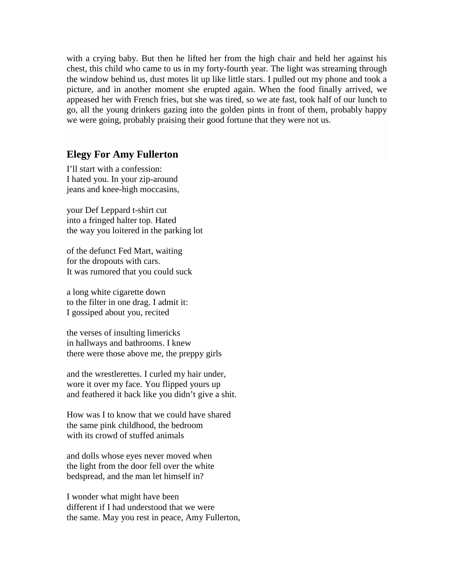with a crying baby. But then he lifted her from the high chair and held her against his chest, this child who came to us in my forty-fourth year. The light was streaming through the window behind us, dust motes lit up like little stars. I pulled out my phone and took a picture, and in another moment she erupted again. When the food finally arrived, we appeased her with French fries, but she was tired, so we ate fast, took half of our lunch to go, all the young drinkers gazing into the golden pints in front of them, probably happy we were going, probably praising their good fortune that they were not us.

#### **Elegy For Amy Fullerton**

I'll start with a confession: I hated you. In your zip-around jeans and knee-high moccasins,

your Def Leppard t-shirt cut into a fringed halter top. Hated the way you loitered in the parking lot

of the defunct Fed Mart, waiting for the dropouts with cars. It was rumored that you could suck

a long white cigarette down to the filter in one drag. I admit it: I gossiped about you, recited

the verses of insulting limericks in hallways and bathrooms. I knew there were those above me, the preppy girls

and the wrestlerettes. I curled my hair under, wore it over my face. You flipped yours up and feathered it back like you didn't give a shit.

How was I to know that we could have shared the same pink childhood, the bedroom with its crowd of stuffed animals

and dolls whose eyes never moved when the light from the door fell over the white bedspread, and the man let himself in?

I wonder what might have been different if I had understood that we were the same. May you rest in peace, Amy Fullerton,